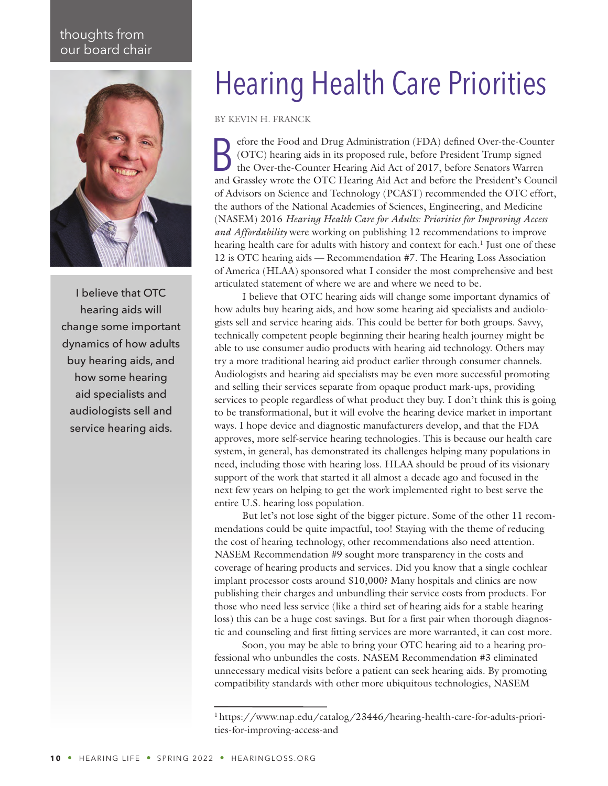## thoughts from our board chair



I believe that OTC hearing aids will change some important dynamics of how adults buy hearing aids, and how some hearing aid specialists and audiologists sell and service hearing aids.

## Hearing Health Care Priorities

BY KEVIN H. FRANCK

Before the Food and Drug Administration (FDA) defined Over-the-Counter (OTC) hearing aids in its proposed rule, before President Trump signed the Over-the-Counter Hearing Aid Act of 2017, before Senators Warren and Grassley wrote the OTC Hearing Aid Act and before the President's Council of Advisors on Science and Technology (PCAST) recommended the OTC effort, the authors of the National Academies of Sciences, Engineering, and Medicine (NASEM) 2016 *Hearing Health Care for Adults: Priorities for Improving Access and Affordability* were working on publishing 12 recommendations to improve hearing health care for adults with history and context for each.<sup>1</sup> Just one of these 12 is OTC hearing aids — Recommendation #7. The Hearing Loss Association of America (HLAA) sponsored what I consider the most comprehensive and best articulated statement of where we are and where we need to be.

I believe that OTC hearing aids will change some important dynamics of how adults buy hearing aids, and how some hearing aid specialists and audiologists sell and service hearing aids. This could be better for both groups. Savvy, technically competent people beginning their hearing health journey might be able to use consumer audio products with hearing aid technology. Others may try a more traditional hearing aid product earlier through consumer channels. Audiologists and hearing aid specialists may be even more successful promoting and selling their services separate from opaque product mark-ups, providing services to people regardless of what product they buy. I don't think this is going to be transformational, but it will evolve the hearing device market in important ways. I hope device and diagnostic manufacturers develop, and that the FDA approves, more self-service hearing technologies. This is because our health care system, in general, has demonstrated its challenges helping many populations in need, including those with hearing loss. HLAA should be proud of its visionary support of the work that started it all almost a decade ago and focused in the next few years on helping to get the work implemented right to best serve the entire U.S. hearing loss population.

But let's not lose sight of the bigger picture. Some of the other 11 recommendations could be quite impactful, too! Staying with the theme of reducing the cost of hearing technology, other recommendations also need attention. NASEM Recommendation #9 sought more transparency in the costs and coverage of hearing products and services. Did you know that a single cochlear implant processor costs around \$10,000? Many hospitals and clinics are now publishing their charges and unbundling their service costs from products. For those who need less service (like a third set of hearing aids for a stable hearing loss) this can be a huge cost savings. But for a first pair when thorough diagnostic and counseling and first fitting services are more warranted, it can cost more.

Soon, you may be able to bring your OTC hearing aid to a hearing professional who unbundles the costs. NASEM Recommendation #3 eliminated unnecessary medical visits before a patient can seek hearing aids. By promoting compatibility standards with other more ubiquitous technologies, NASEM

<sup>&</sup>lt;sup>1</sup> [https://www.nap.edu/catalog/23446/hearing-health-care-for-adults-priori](https://www.nap.edu/catalog/23446/hearing-health-care-for-adults-priorities-for-improving-access-and)[ties-for-improving-access-and](https://www.nap.edu/catalog/23446/hearing-health-care-for-adults-priorities-for-improving-access-and)